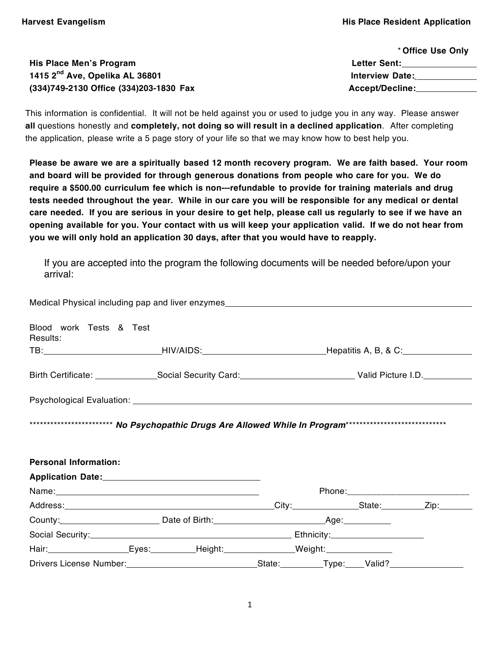|                                            | * Office Use Only      |  |
|--------------------------------------------|------------------------|--|
| His Place Men's Program                    | <b>Letter Sent:</b>    |  |
| 1415 2 <sup>nd</sup> Ave, Opelika AL 36801 | <b>Interview Date:</b> |  |
| (334)749-2130 Office (334)203-1830 Fax     | <b>Accept/Decline:</b> |  |

This information is confidential. It will not be held against you or used to judge you in any way. Please answer **all** questions honestly and **completely, not doing so will result in a declined application**. After completing the application, please write a 5 page story of your life so that we may know how to best help you.

Please be aware we are a spiritually based 12 month recovery program. We are faith based. Your room **and board will be provided for through generous donations from people who care for you. We do require a \$500.00 curriculum fee which is non-‐refundable to provide for training materials and drug tests needed throughout the year. While in our care you will be responsible for any medical or dental** care needed. If you are serious in your desire to get help, please call us regularly to see if we have an **opening available for you. Your contact with us will keep your application valid. If we do not hear from you we will only hold an application 30 days, after that you would have to reapply.** 

If you are accepted into the program the following documents will be needed before/upon your arrival:

| Medical Physical including pap and liver enzymes_________________________________                                                                                                                                              |  |  |  |
|--------------------------------------------------------------------------------------------------------------------------------------------------------------------------------------------------------------------------------|--|--|--|
| Blood work Tests & Test<br>Results:                                                                                                                                                                                            |  |  |  |
|                                                                                                                                                                                                                                |  |  |  |
| Birth Certificate: Social Security Card: Valid Picture I.D.                                                                                                                                                                    |  |  |  |
|                                                                                                                                                                                                                                |  |  |  |
|                                                                                                                                                                                                                                |  |  |  |
|                                                                                                                                                                                                                                |  |  |  |
| <b>Personal Information:</b>                                                                                                                                                                                                   |  |  |  |
|                                                                                                                                                                                                                                |  |  |  |
|                                                                                                                                                                                                                                |  |  |  |
|                                                                                                                                                                                                                                |  |  |  |
| County: County: County: County: County: County: County: County: County: County: County: County: County: County: County: County: County: County: County: County: County: County: County: County: County: County: County: County |  |  |  |
|                                                                                                                                                                                                                                |  |  |  |
| Hair: Eyes: Height: Weight: Weight:                                                                                                                                                                                            |  |  |  |
|                                                                                                                                                                                                                                |  |  |  |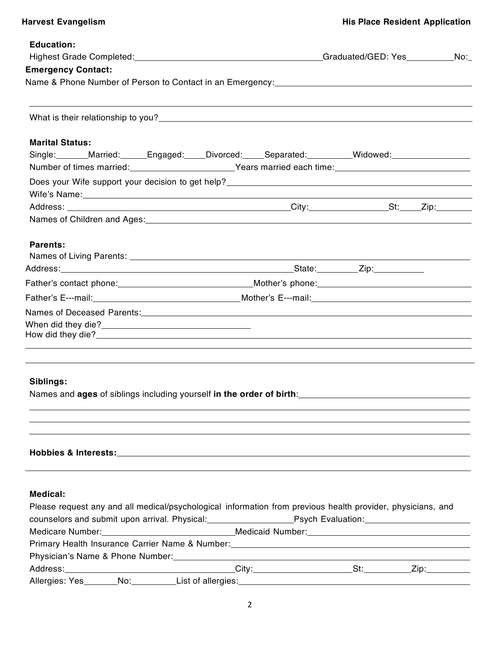| <b>Education:</b>                                                                                                                                                                                                              |  |  |  |
|--------------------------------------------------------------------------------------------------------------------------------------------------------------------------------------------------------------------------------|--|--|--|
|                                                                                                                                                                                                                                |  |  |  |
| <b>Emergency Contact:</b>                                                                                                                                                                                                      |  |  |  |
| Name & Phone Number of Person to Contact in an Emergency: [2012] [2012] [2012] [2012] [2012] [2012] [2012] [20                                                                                                                 |  |  |  |
|                                                                                                                                                                                                                                |  |  |  |
|                                                                                                                                                                                                                                |  |  |  |
| <b>Marital Status:</b>                                                                                                                                                                                                         |  |  |  |
| Single: Married: Engaged: Divorced: Separated: Widowed: Midowed:                                                                                                                                                               |  |  |  |
| Number of times married: Vears married each time: Number of times                                                                                                                                                              |  |  |  |
|                                                                                                                                                                                                                                |  |  |  |
| Wife's Name: Name: Name and Second Contract of the Second Contract of the Second Contract of the Second Contract of the Second Contract of the Second Contract of the Second Contract of the Second Contract of the Second Con |  |  |  |
|                                                                                                                                                                                                                                |  |  |  |
| Names of Children and Ages: Manual Accounts and Ages: All Accounts and Ages and Accounts and Ages and Accounts and Ages and Accounts and Ages and Accounts and Ages and Accounts and Accounts and Accounts and Accounts and Ac |  |  |  |
| <b>Parents:</b>                                                                                                                                                                                                                |  |  |  |
|                                                                                                                                                                                                                                |  |  |  |
|                                                                                                                                                                                                                                |  |  |  |
|                                                                                                                                                                                                                                |  |  |  |
|                                                                                                                                                                                                                                |  |  |  |
|                                                                                                                                                                                                                                |  |  |  |
|                                                                                                                                                                                                                                |  |  |  |
|                                                                                                                                                                                                                                |  |  |  |
|                                                                                                                                                                                                                                |  |  |  |
|                                                                                                                                                                                                                                |  |  |  |
| Siblings:                                                                                                                                                                                                                      |  |  |  |
| Names and ages of siblings including yourself in the order of birth:                                                                                                                                                           |  |  |  |
|                                                                                                                                                                                                                                |  |  |  |
|                                                                                                                                                                                                                                |  |  |  |
|                                                                                                                                                                                                                                |  |  |  |
| <b>Hobbies &amp; Interests:</b>                                                                                                                                                                                                |  |  |  |
|                                                                                                                                                                                                                                |  |  |  |

# **Medical:**

| Please request any and all medical/psychological information from previous health provider, physicians, and                                                                                                                    |  |  |  |  |
|--------------------------------------------------------------------------------------------------------------------------------------------------------------------------------------------------------------------------------|--|--|--|--|
|                                                                                                                                                                                                                                |  |  |  |  |
| Medicare Number: Manual Medicaid Number: Medicaid Number: Medicaid Number: Medicaid Number: Medicaid Number: Medicaid Number: Medicaid Number: Medicaid Number: Medicaid Number: Medicaid Number: Medicaid Number: Medicaid Nu |  |  |  |  |
| Primary Health Insurance Carrier Name & Number: ________________________________                                                                                                                                               |  |  |  |  |
|                                                                                                                                                                                                                                |  |  |  |  |
|                                                                                                                                                                                                                                |  |  |  |  |
|                                                                                                                                                                                                                                |  |  |  |  |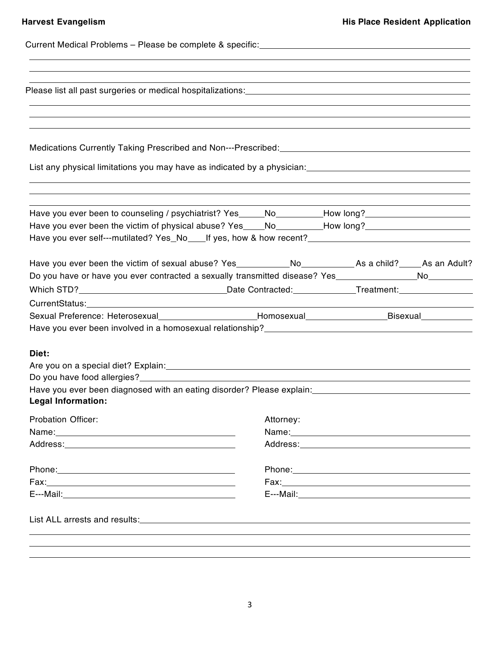| List any physical limitations you may have as indicated by a physician: [100] [100] [100] [100] [100] [100] [1                                                                                                                                                                                                     |           |                                                                                                                |  |
|--------------------------------------------------------------------------------------------------------------------------------------------------------------------------------------------------------------------------------------------------------------------------------------------------------------------|-----------|----------------------------------------------------------------------------------------------------------------|--|
| Have you ever been to counseling / psychiatrist? Yes_____No________How long?_______________________<br>Have you ever been the victim of physical abuse? Yes____No________How long?________________________<br>Have you ever self---mutilated? Yes_No____If yes, how & how recent?_________________________________ |           |                                                                                                                |  |
| Have you ever been the victim of sexual abuse? Yes_____________No_________________As a child?______As an Adult?<br>Do you have or have you ever contracted a sexually transmitted disease? Yes__________________No___________                                                                                      |           |                                                                                                                |  |
| Sexual Preference: Heterosexual_______________________Homosexual_________________Bisexual___________                                                                                                                                                                                                               |           |                                                                                                                |  |
| Diet:<br>Are you on a special diet? Explain: Manual Community of the special control of the special diet? Explain:<br>Have you ever been diagnosed with an eating disorder? Please explain: [16] Maxe you ever been diagnosed<br><b>Legal Information:</b>                                                         |           |                                                                                                                |  |
| <b>Probation Officer:</b><br>Address: Andrea Maria Contractor and Address and Address and Address and Address and Address and Address and A                                                                                                                                                                        | Attorney: |                                                                                                                |  |
|                                                                                                                                                                                                                                                                                                                    |           | E---Mail: 2008 - 2008 - 2008 - 2008 - 2008 - 2008 - 2008 - 2008 - 2008 - 2008 - 2008 - 2008 - 2008 - 2008 - 20 |  |
|                                                                                                                                                                                                                                                                                                                    |           |                                                                                                                |  |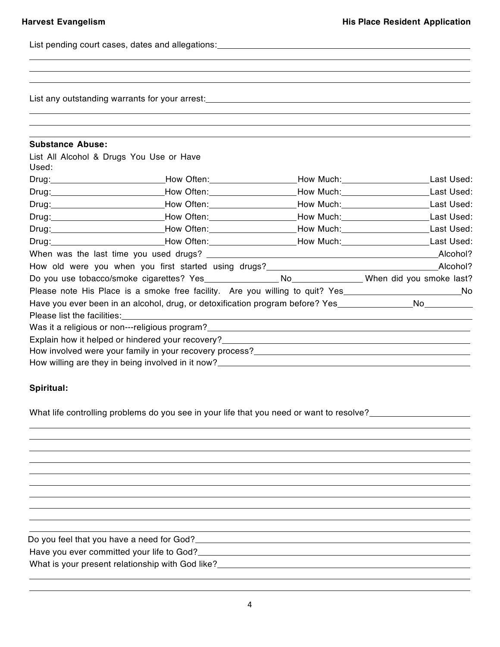List pending court cases, dates and allegations:<br>
<u>List pending court cases</u>, dates and allegations:

List any outstanding warrants for your arrest:<br>
<u>List any outstanding</u> warrants for your arrest:

| <b>Substance Abuse:</b>                                                                                       |                                                                                                                                                                |  |  |
|---------------------------------------------------------------------------------------------------------------|----------------------------------------------------------------------------------------------------------------------------------------------------------------|--|--|
| List All Alcohol & Drugs You Use or Have                                                                      |                                                                                                                                                                |  |  |
| Used:                                                                                                         |                                                                                                                                                                |  |  |
|                                                                                                               | Drug:_______________________________How Often:__________________How Much:________________________Last Used:                                                    |  |  |
|                                                                                                               | Drug: Last Used: How Often: Network Nuch: Network Nuch: Last Used:                                                                                             |  |  |
|                                                                                                               | Drug: Last Used: Now Often: Now Often: Now Much: Now Much: Now Much: Net Used:                                                                                 |  |  |
|                                                                                                               | Drug: Last Used: How Often: Network Nuch: Network Nuch: Last Used:                                                                                             |  |  |
|                                                                                                               | Drug: Last Used: How Often: Network Nuch: Network Nuch: Last Used:                                                                                             |  |  |
|                                                                                                               | Drug: Last Used: How Often: Network Nuch: Network: Network Nuch: Network: Network: Network: Network: Network: N                                                |  |  |
|                                                                                                               |                                                                                                                                                                |  |  |
|                                                                                                               | How old were you when you first started using drugs?<br>How old were you when you first started using drugs?<br>1990 - 2000 - 2000 - 2000 - 2010 - 2020 - 2020 |  |  |
|                                                                                                               |                                                                                                                                                                |  |  |
|                                                                                                               | Please note His Place is a smoke free facility. Are you willing to quit? Yes_____________________________No                                                    |  |  |
| Have you ever been in an alcohol, drug, or detoxification program before? Yes__________________No____________ |                                                                                                                                                                |  |  |
|                                                                                                               |                                                                                                                                                                |  |  |
|                                                                                                               |                                                                                                                                                                |  |  |
|                                                                                                               |                                                                                                                                                                |  |  |
|                                                                                                               |                                                                                                                                                                |  |  |
|                                                                                                               |                                                                                                                                                                |  |  |

## **Spiritual:**

What life controlling problems do you see in your life that you need or want to resolve?<br><u>What life controlling</u> problems do you see in your life that you need or want to resolve?

Do you feel that you have a need for God?<br>
<u>Do you feel that you have a need for God?</u>

Have you ever committed your life to God?<br>
Have you ever committed your life to God?

What is your present relationship with God like?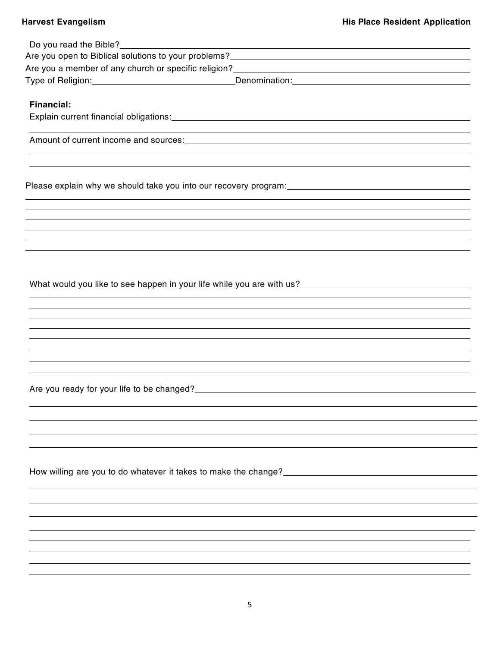| Do you read the Bible?<br><u> Letter and the Bible?</u> | the control of the control of the control of the control of the control of the control of the control of the control of the control of the control of the control of the control of the control of the control of the control         |
|---------------------------------------------------------|---------------------------------------------------------------------------------------------------------------------------------------------------------------------------------------------------------------------------------------|
|                                                         | Are you open to Biblical solutions to your problems?<br>Manuscrittic manuscrittic manuscrittic manuscrittic manuscrittic manuscrittic manuscrittic manuscrittic manus                                                                 |
|                                                         | Are you a member of any church or specific religion?<br>Manusian Manusian Manusian Manusian Manusian Manusian Manusian Manusian Manusian Manusian Manusian Manusian M                                                                 |
|                                                         |                                                                                                                                                                                                                                       |
|                                                         |                                                                                                                                                                                                                                       |
| <b>Financial:</b>                                       |                                                                                                                                                                                                                                       |
|                                                         |                                                                                                                                                                                                                                       |
|                                                         |                                                                                                                                                                                                                                       |
|                                                         |                                                                                                                                                                                                                                       |
|                                                         |                                                                                                                                                                                                                                       |
|                                                         |                                                                                                                                                                                                                                       |
|                                                         |                                                                                                                                                                                                                                       |
|                                                         |                                                                                                                                                                                                                                       |
|                                                         |                                                                                                                                                                                                                                       |
|                                                         |                                                                                                                                                                                                                                       |
|                                                         |                                                                                                                                                                                                                                       |
|                                                         |                                                                                                                                                                                                                                       |
|                                                         |                                                                                                                                                                                                                                       |
|                                                         |                                                                                                                                                                                                                                       |
|                                                         | What would you like to see happen in your life while you are with us?<br>What would you like to see happen in your life while you are with us?                                                                                        |
|                                                         |                                                                                                                                                                                                                                       |
|                                                         |                                                                                                                                                                                                                                       |
|                                                         |                                                                                                                                                                                                                                       |
|                                                         |                                                                                                                                                                                                                                       |
|                                                         |                                                                                                                                                                                                                                       |
|                                                         |                                                                                                                                                                                                                                       |
|                                                         |                                                                                                                                                                                                                                       |
|                                                         | Are you ready for your life to be changed?<br><u>Note</u> that the second the second term in the second term in the second term in the second term in the second term in the second term in the second term in the second term in the |
|                                                         |                                                                                                                                                                                                                                       |
|                                                         |                                                                                                                                                                                                                                       |
|                                                         |                                                                                                                                                                                                                                       |
|                                                         |                                                                                                                                                                                                                                       |
|                                                         |                                                                                                                                                                                                                                       |
|                                                         |                                                                                                                                                                                                                                       |
|                                                         |                                                                                                                                                                                                                                       |
|                                                         |                                                                                                                                                                                                                                       |
|                                                         |                                                                                                                                                                                                                                       |
|                                                         |                                                                                                                                                                                                                                       |
|                                                         |                                                                                                                                                                                                                                       |
|                                                         |                                                                                                                                                                                                                                       |
|                                                         |                                                                                                                                                                                                                                       |
|                                                         |                                                                                                                                                                                                                                       |
|                                                         |                                                                                                                                                                                                                                       |